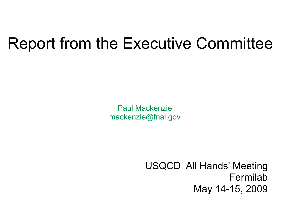## Report from the Executive Committee

Paul Mackenzie [mackenzie@fnal.gov](mailto:mackenzie@fnal.gov)

> USQCD All Hands' Meeting Fermilab May 14-15, 2009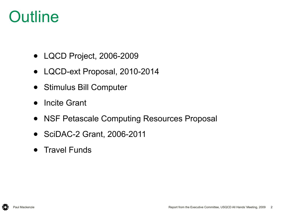## **Outline**

- LQCD Project, 2006-2009
- LQCD-ext Proposal, 2010-2014
- Stimulus Bill Computer
- Incite Grant
- NSF Petascale Computing Resources Proposal
- SciDAC-2 Grant, 2006-2011
- Travel Funds

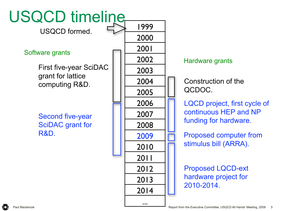

#### Hardware grants

QCDOC.

LQCD project, first cycle of continuous HEP and NP

Proposed computer from stimulus bill (ARRA).

Proposed LQCD-ext hardware project for 2010-2014.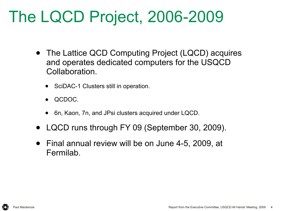# The LQCD Project, 2006-2009

- The Lattice QCD Computing Project (LQCD) acquires and operates dedicated computers for the USQCD Collaboration.
	- SciDAC-1 Clusters still in operation.
	- QCDOC.
	- 6n, Kaon, 7n, and JPsi clusters acquired under LQCD.
- LQCD runs through FY 09 (September 30, 2009).
- Final annual review will be on June 4-5, 2009, at Fermilab.

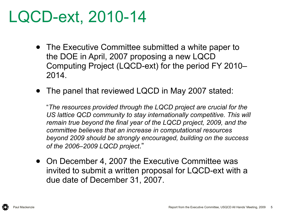# LQCD-ext, 2010-14

- The Executive Committee submitted a white paper to the DOE in April, 2007 proposing a new LQCD Computing Project (LQCD-ext) for the period FY 2010– 2014.
- The panel that reviewed LQCD in May 2007 stated:

"*The resources provided through the LQCD project are crucial for the*  US lattice QCD community to stay internationally competitive. This will *remain true beyond the final year of the LQCD project, 2009, and the committee believes that an increase in computational resources beyond 2009 should be strongly encouraged, building on the success of the 2006–2009 LQCD project*."

• On December 4, 2007 the Executive Committee was invited to submit a written proposal for LQCD-ext with a due date of December 31, 2007.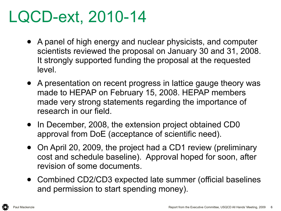# LQCD-ext, 2010-14

- A panel of high energy and nuclear physicists, and computer scientists reviewed the proposal on January 30 and 31, 2008. It strongly supported funding the proposal at the requested level.
- A presentation on recent progress in lattice gauge theory was made to HEPAP on February 15, 2008. HEPAP members made very strong statements regarding the importance of research in our field.
- In December, 2008, the extension project obtained CD0 approval from DoE (acceptance of scientific need).
- On April 20, 2009, the project had a CD1 review (preliminary cost and schedule baseline). Approval hoped for soon, after revision of some documents.
- Combined CD2/CD3 expected late summer (official baselines and permission to start spending money).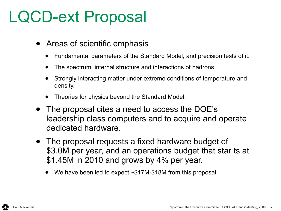# LQCD-ext Proposal

- Areas of scientific emphasis
	- Fundamental parameters of the Standard Model, and precision tests of it.
	- The spectrum, internal structure and interactions of hadrons.
	- Strongly interacting matter under extreme conditions of temperature and density.
	- Theories for physics beyond the Standard Model.
- The proposal cites a need to access the DOE's leadership class computers and to acquire and operate dedicated hardware.
- The proposal requests a fixed hardware budget of \$3.0M per year, and an operations budget that star ts at \$1.45M in 2010 and grows by 4% per year.
	- We have been led to expect  $\sim$ \$17M-\$18M from this proposal.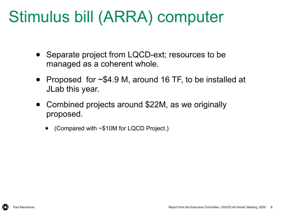# Stimulus bill (ARRA) computer

- Separate project from LQCD-ext; resources to be managed as a coherent whole.
- Proposed for ~\$4.9 M, around 16 TF, to be installed at JLab this year.
- Combined projects around \$22M, as we originally proposed.
	- (Compared with  $\sim$ \$10M for LQCD Project.)

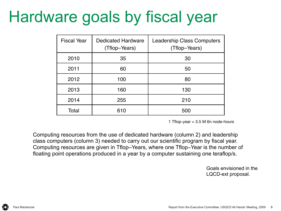# Hardware goals by fiscal year

| <b>Fiscal Year</b> | <b>Dedicated Hardware</b><br>(Tflop-Years) | <b>Leadership Class Computers</b><br>(Tflop-Years) |
|--------------------|--------------------------------------------|----------------------------------------------------|
| 2010               | 35                                         | 30                                                 |
| 2011               | 60                                         | 50                                                 |
| 2012               | 100                                        | 80                                                 |
| 2013               | 160                                        | 130                                                |
| 2014               | 255                                        | 210                                                |
| Total              | 610                                        | 500                                                |

1 Tflop-year  $= 3.5$  M 6n node-hours

Computing resources from the use of dedicated hardware (column 2) and leadership class computers (column 3) needed to carry out our scientific program by fiscal year. Computing resources are given in Tflop–Years, where one Tflop–Year is the number of floating point operations produced in a year by a computer sustaining one teraflop/s.

> LQCD-ext proposal. Goals envisioned in the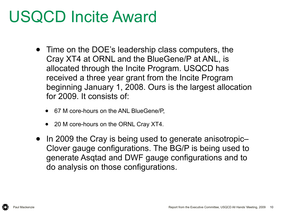# USQCD Incite Award

- Time on the DOE's leadership class computers, the Cray XT4 at ORNL and the BlueGene/P at ANL, is allocated through the Incite Program. USQCD has received a three year grant from the Incite Program beginning January 1, 2008. Ours is the largest allocation for 2009. It consists of:
	- 67 M core-hours on the ANL BlueGene/P,
	- 20 M core-hours on the ORNL Cray XT4.
- In 2009 the Cray is being used to generate anisotropic-Clover gauge configurations. The BG/P is being used to generate Asqtad and DWF gauge configurations and to do analysis on those configurations.

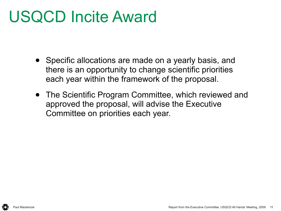# USQCD Incite Award

- Specific allocations are made on a yearly basis, and there is an opportunity to change scientific priorities each year within the framework of the proposal.
- The Scientific Program Committee, which reviewed and approved the proposal, will advise the Executive Committee on priorities each year.

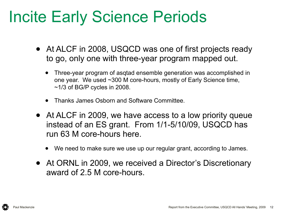# Incite Early Science Periods

- At ALCF in 2008, USQCD was one of first projects ready to go, only one with three-year program mapped out.
	- Three-year program of asqtad ensemble generation was accomplished in one year. We used ~300 M core-hours, mostly of Early Science time,  $~1/3$  of BG/P cycles in 2008.
	- Thanks James Osborn and Software Committee.
- At ALCF in 2009, we have access to a low priority queue instead of an ES grant. From 1/1-5/10/09, USQCD has run 63 M core-hours here.
	- We need to make sure we use up our regular grant, according to James.
- At ORNL in 2009, we received a Director's Discretionary award of 2.5 M core-hours.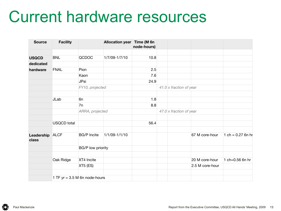#### Current hardware resources

| <b>Source</b>       | <b>Facility</b>                 |                          | Allocation year Time (M 6n | node-hours) |                                |                         |                 |                     |
|---------------------|---------------------------------|--------------------------|----------------------------|-------------|--------------------------------|-------------------------|-----------------|---------------------|
| <b>USQCD</b>        | <b>BNL</b>                      | QCDOC                    | 1/7/09-1/7/10              | 10.8        |                                |                         |                 |                     |
| dedicated           |                                 |                          |                            |             |                                |                         |                 |                     |
| hardware            | <b>FNAL</b>                     | Pion                     |                            | 2.5         |                                |                         |                 |                     |
|                     |                                 | Kaon                     |                            | 7.6         |                                |                         |                 |                     |
|                     |                                 | <b>JPsi</b>              |                            | 24.9        |                                |                         |                 |                     |
|                     |                                 | FY10, projected          |                            |             |                                | 41.0 x fraction of year |                 |                     |
|                     | JLab                            | 6 <sub>n</sub>           |                            | 1.8         |                                |                         |                 |                     |
|                     |                                 | 7n                       |                            | 8.8         |                                |                         |                 |                     |
|                     |                                 | ARRA, projected          |                            |             | $47.0 \times$ fraction of year |                         |                 |                     |
|                     | <b>USQCD</b> total              |                          |                            | 56.4        |                                |                         |                 |                     |
| Leadership<br>class | <b>ALCF</b>                     | <b>BG/P</b> Incite       | 1/1/09-1/1/10              |             |                                |                         | 67 M core-hour  | 1 ch = $0.27$ 6n hr |
|                     |                                 | <b>BG/P low priority</b> |                            |             |                                |                         |                 |                     |
|                     | Oak Ridge                       | XT4 Incite               |                            |             |                                |                         | 20 M core-hour  | 1 ch=0.56 6n hr     |
|                     |                                 | XT5 (ES)                 |                            |             |                                |                         | 2.5 M core-hour |                     |
|                     | 1 TF $yr = 3.5$ M 6n node-hours |                          |                            |             |                                |                         |                 |                     |

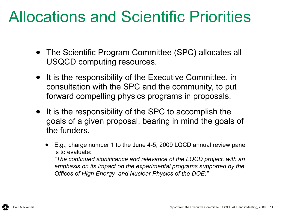# Allocations and Scientific Priorities

- The Scientific Program Committee (SPC) allocates all USQCD computing resources.
- It is the responsibility of the Executive Committee, in consultation with the SPC and the community, to put forward compelling physics programs in proposals.
- It is the responsibility of the SPC to accomplish the goals of a given proposal, bearing in mind the goals of the funders.
	- E.g., charge number 1 to the June 4-5, 2009 LQCD annual review panel is to evaluate:

*"The continued significance and relevance of the LQCD project, with an emphasis on its impact on the experimental programs supported by the Offices of High Energy and Nuclear Physics of the DOE;"*

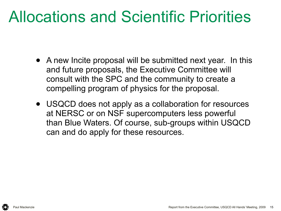# Allocations and Scientific Priorities

- A new Incite proposal will be submitted next year. In this and future proposals, the Executive Committee will consult with the SPC and the community to create a compelling program of physics for the proposal.
- USQCD does not apply as a collaboration for resources at NERSC or on NSF supercomputers less powerful than Blue Waters. Of course, sub-groups within USQCD can and do apply for these resources.

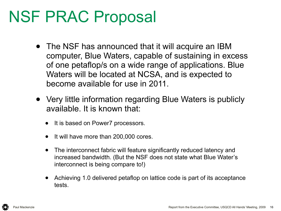# NSF PRAC Proposal

- The NSF has announced that it will acquire an IBM computer, Blue Waters, capable of sustaining in excess of one petaflop/s on a wide range of applications. Blue Waters will be located at NCSA, and is expected to become available for use in 2011.
- Very little information regarding Blue Waters is publicly available. It is known that:
	- It is based on Power7 processors.
	- It will have more than 200,000 cores.
	- The interconnect fabric will feature significantly reduced latency and increased bandwidth. (But the NSF does not state what Blue Water's interconnect is being compare to!)
	- Achieving 1.0 delivered petaflop on lattice code is part of its acceptance tests.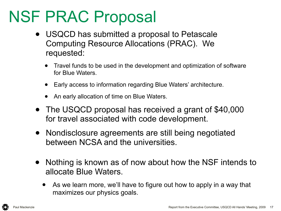# NSF PRAC Proposal

- USQCD has submitted a proposal to Petascale Computing Resource Allocations (PRAC). We requested:
	- Travel funds to be used in the development and optimization of software for Blue Waters.
	- Early access to information regarding Blue Waters' architecture.
	- An early allocation of time on Blue Waters.
- The USQCD proposal has received a grant of \$40,000 for travel associated with code development.
- Nondisclosure agreements are still being negotiated between NCSA and the universities.
- Nothing is known as of now about how the NSF intends to allocate Blue Waters.
	- As we learn more, we'll have to figure out how to apply in a way that maximizes our physics goals.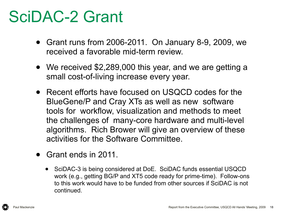# SciDAC-2 Grant

- Grant runs from 2006-2011. On January 8-9, 2009, we received a favorable mid-term review.
- We received \$2,289,000 this year, and we are getting a small cost-of-living increase every year.
- Recent efforts have focused on USQCD codes for the BlueGene/P and Cray XTs as well as new software tools for workflow, visualization and methods to meet the challenges of many-core hardware and multi-level algorithms. Rich Brower will give an overview of these activities for the Software Committee.
- Grant ends in 2011.
	- SciDAC-3 is being considered at DoE. SciDAC funds essential USQCD work (e.g., getting BG/P and XT5 code ready for prime-time). Follow-ons to this work would have to be funded from other sources if SciDAC is not continued.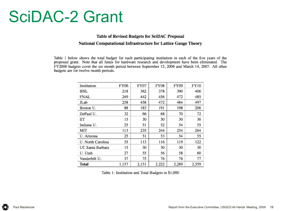#### SciDAC-2 Grant

#### Table of Revised Budgets for SciDAC Proposal National Computational Infrastructure for Lattice Gauge Theory

Table 1 below shows the total budget for each participating institution in each of the five years of the proposed grant. Note that all funds for hardware research and development have been eliminated. The FY2006 budgets cover the six month period between September 15, 2006 and March 14, 2007. All other budgets are for twelve month periods.

| Institution       | FY06  | FY07  | FY08  | FY09  | FY10  |
|-------------------|-------|-------|-------|-------|-------|
| BNL               | 218   | 362   | 378   | 390   | 406   |
| FNAL              | 249   | 442   | 456   | 472   | 485   |
| JLab              | 258   | 458   | 472   | 484   | 497   |
| Boston U.         | 88    | 183   | 191   | 198   | 206   |
| DePaul U.         | 32    | 66    | 68    | 70    | 72    |
| IГТ               | 15    | 30    | 30    | 30    | 30    |
| Indiana U.        | 25    | 51    | 52    | 54    | 55    |
| МIТ               | 113   | 235   | 244   | 254   | 264   |
| U. Arizona        | 25    | 51    | 53    | 54    | 55    |
| U. North Carolina | 55    | 113   | 116   | 119   | 122   |
| UC Santa Barbara  | 15    | 30    | 30    | 30    | 30    |
| U. Utah           | 27    | 55    | 56    | 58    | 60    |
| Vanderbilt U.     | 37    | 75    | 76    | 76    | 77    |
| Total             | 1,157 | 2,151 | 2,222 | 2.289 | 2,359 |

Table 1: Institution and Total Budgets in \$1,000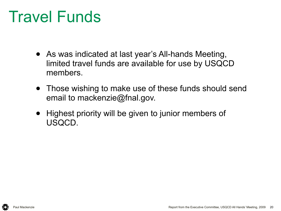# Travel Funds

- As was indicated at last year's All-hands Meeting, limited travel funds are available for use by USQCD members.
- Those wishing to make use of these funds should send email to mackenzie@fnal.gov.
- Highest priority will be given to junior members of USQCD.